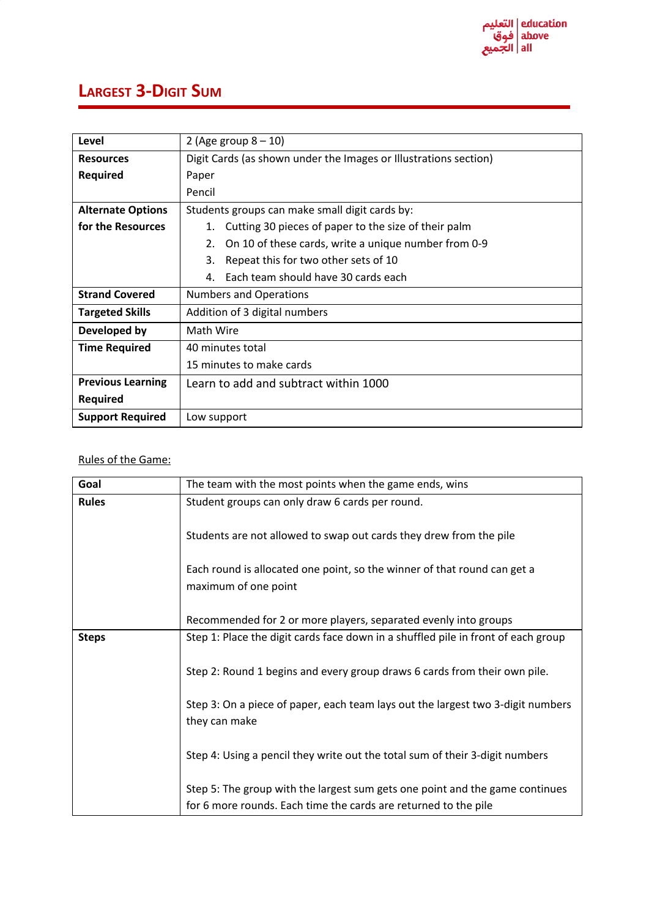## **LARGEST 3-DIGIT SUM**

| Level                    | 2 (Age group $8 - 10$ )                                          |  |  |  |  |  |
|--------------------------|------------------------------------------------------------------|--|--|--|--|--|
| <b>Resources</b>         | Digit Cards (as shown under the Images or Illustrations section) |  |  |  |  |  |
| <b>Required</b>          | Paper                                                            |  |  |  |  |  |
|                          | Pencil                                                           |  |  |  |  |  |
| <b>Alternate Options</b> | Students groups can make small digit cards by:                   |  |  |  |  |  |
| for the Resources        | Cutting 30 pieces of paper to the size of their palm<br>1.       |  |  |  |  |  |
|                          | On 10 of these cards, write a unique number from 0-9<br>2.       |  |  |  |  |  |
|                          | 3.<br>Repeat this for two other sets of 10                       |  |  |  |  |  |
|                          | Each team should have 30 cards each<br>4.                        |  |  |  |  |  |
| <b>Strand Covered</b>    | <b>Numbers and Operations</b>                                    |  |  |  |  |  |
| <b>Targeted Skills</b>   | Addition of 3 digital numbers                                    |  |  |  |  |  |
| Developed by             | Math Wire                                                        |  |  |  |  |  |
| <b>Time Required</b>     | 40 minutes total                                                 |  |  |  |  |  |
|                          | 15 minutes to make cards                                         |  |  |  |  |  |
| <b>Previous Learning</b> | Learn to add and subtract within 1000                            |  |  |  |  |  |
| <b>Required</b>          |                                                                  |  |  |  |  |  |
| <b>Support Required</b>  | Low support                                                      |  |  |  |  |  |

## Rules of the Game:

| Goal         | The team with the most points when the game ends, wins                                           |  |  |  |  |  |
|--------------|--------------------------------------------------------------------------------------------------|--|--|--|--|--|
| <b>Rules</b> | Student groups can only draw 6 cards per round.                                                  |  |  |  |  |  |
|              | Students are not allowed to swap out cards they drew from the pile                               |  |  |  |  |  |
|              | Each round is allocated one point, so the winner of that round can get a<br>maximum of one point |  |  |  |  |  |
|              | Recommended for 2 or more players, separated evenly into groups                                  |  |  |  |  |  |
| <b>Steps</b> | Step 1: Place the digit cards face down in a shuffled pile in front of each group                |  |  |  |  |  |
|              | Step 2: Round 1 begins and every group draws 6 cards from their own pile.                        |  |  |  |  |  |
|              | Step 3: On a piece of paper, each team lays out the largest two 3-digit numbers<br>they can make |  |  |  |  |  |
|              | Step 4: Using a pencil they write out the total sum of their 3-digit numbers                     |  |  |  |  |  |
|              | Step 5: The group with the largest sum gets one point and the game continues                     |  |  |  |  |  |
|              | for 6 more rounds. Each time the cards are returned to the pile                                  |  |  |  |  |  |